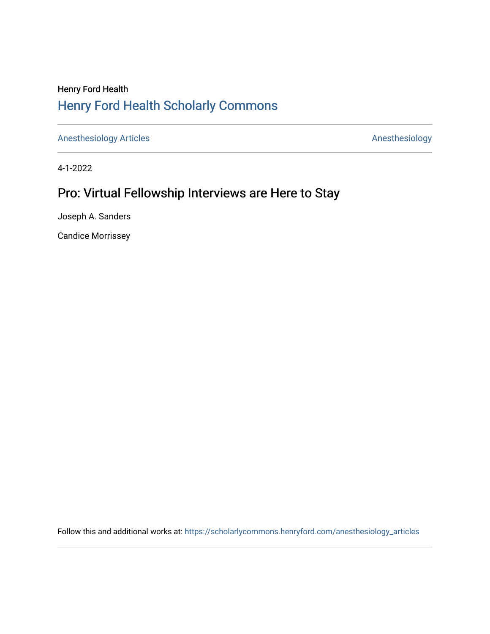## Henry Ford Health [Henry Ford Health Scholarly Commons](https://scholarlycommons.henryford.com/)

[Anesthesiology Articles](https://scholarlycommons.henryford.com/anesthesiology_articles) [Anesthesiology](https://scholarlycommons.henryford.com/anesthesiology) Articles

4-1-2022

## Pro: Virtual Fellowship Interviews are Here to Stay

Joseph A. Sanders

Candice Morrissey

Follow this and additional works at: [https://scholarlycommons.henryford.com/anesthesiology\\_articles](https://scholarlycommons.henryford.com/anesthesiology_articles?utm_source=scholarlycommons.henryford.com%2Fanesthesiology_articles%2F127&utm_medium=PDF&utm_campaign=PDFCoverPages)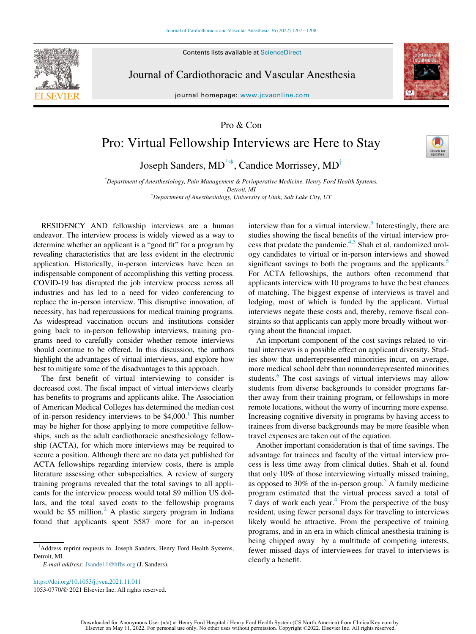Contents lists available at ScienceDirect



Journal of Cardiothoracic and Vascular Anesthesia

journal homepage: [www.jcvaonline.com](http://www.jcvaonline.com)



Pro & Con

## Pro: Virtual Fellowship Interviews are Here to Stay

Joseph Sanders, MD<sup>[1,](#page-1-0)\*</sup>, Candice Morrisse[y](#page-1-2), MD<sup>†</sup>

\* Department of Anesthesiology, Pain Management & Perioperative Medicine, Henry Ford Health Systems, Detroit, MI <sup>T</sup>Department of Anesthesiology, University of Utah, Salt Lake City, UT

<span id="page-1-2"></span><span id="page-1-1"></span>RESIDENCY AND fellowship interviews are a human endeavor. The interview process is widely viewed as a way to determine whether an applicant is a "good fit" for a program by revealing characteristics that are less evident in the electronic application. Historically, in-person interviews have been an indispensable component of accomplishing this vetting process. COVID-19 has disrupted the job interview process across all industries and has led to a need for video conferencing to replace the in-person interview. This disruptive innovation, of necessity, has had repercussions for medical training programs. As widespread vaccination occurs and institutions consider going back to in-person fellowship interviews, training programs need to carefully consider whether remote interviews should continue to be offered. In this discussion, the authors highlight the advantages of virtual interviews, and explore how best to mitigate some of the disadvantages to this approach.

The first benefit of virtual interviewing to consider is decreased cost. The fiscal impact of virtual interviews clearly has benefits to programs and applicants alike. The Association of American Medical Colleges has determined the median cost of in-person residency interviews to be  $$4,000$ .<sup>1</sup> This number may be higher for those applying to more competitive fellowships, such as the adult cardiothoracic anesthesiology fellowship (ACTA), for which more interviews may be required to secure a position. Although there are no data yet published for ACTA fellowships regarding interview costs, there is ample literature assessing other subspecialties. A review of surgery training programs revealed that the total savings to all applicants for the interview process would total \$9 million US dollars, and the total saved costs to the fellowship programs would be \$5 million.<sup>[2](#page-2-1)</sup> A plastic surgery program in Indiana found that applicants spent \$587 more for an in-person

<https://doi.org/10.1053/j.jvca.2021.11.011> 1053-0770/© 2021 Elsevier Inc. All rights reserved. interview than for a virtual interview.<sup>[3](#page-2-2)</sup> Interestingly, there are studies showing the fiscal benefits of the virtual interview process that predate the pandemic.[4,](#page-2-3)[5](#page-2-4) Shah et al. randomized urology candidates to virtual or in-person interviews and showed significant savings to both the programs and the applicants.<sup>[5](#page-2-4)</sup> For ACTA fellowships, the authors often recommend that applicants interview with 10 programs to have the best chances of matching. The biggest expense of interviews is travel and lodging, most of which is funded by the applicant. Virtual interviews negate these costs and, thereby, remove fiscal constraints so that applicants can apply more broadly without worrying about the financial impact.

An important component of the cost savings related to virtual interviews is a possible effect on applicant diversity. Studies show that underrepresented minorities incur, on average, more medical school debt than nonunderrepresented minorities students.<sup>6</sup> The cost savings of virtual interviews may allow students from diverse backgrounds to consider programs farther away from their training program, or fellowships in more remote locations, without the worry of incurring more expense. Increasing cognitive diversity in programs by having access to trainees from diverse backgrounds may be more feasible when travel expenses are taken out of the equation.

Another important consideration is that of time savings. The advantage for trainees and faculty of the virtual interview process is less time away from clinical duties. Shah et al. found that only 10% of those interviewing virtually missed training, as opposed to 30% of the in-person group. $\overline{5}$  $\overline{5}$  $\overline{5}$  A family medicine program estimated that the virtual process saved a total of 7 days of work each year. $4$  From the perspective of the busy resident, using fewer personal days for traveling to interviews likely would be attractive. From the perspective of training programs, and in an era in which clinical anesthesia training is being chipped away by a multitude of competing interests, fewer missed days of interviewees for travel to interviews is clearly a benefit.

<span id="page-1-0"></span><sup>&</sup>lt;sup>1</sup>Address reprint requests to. Joseph Sanders, Henry Ford Health Systems, Detroit, MI.

E-mail address: [Jsande11@hfhs.org](mailto:Jsande11@hfhs.org) (J. Sanders).